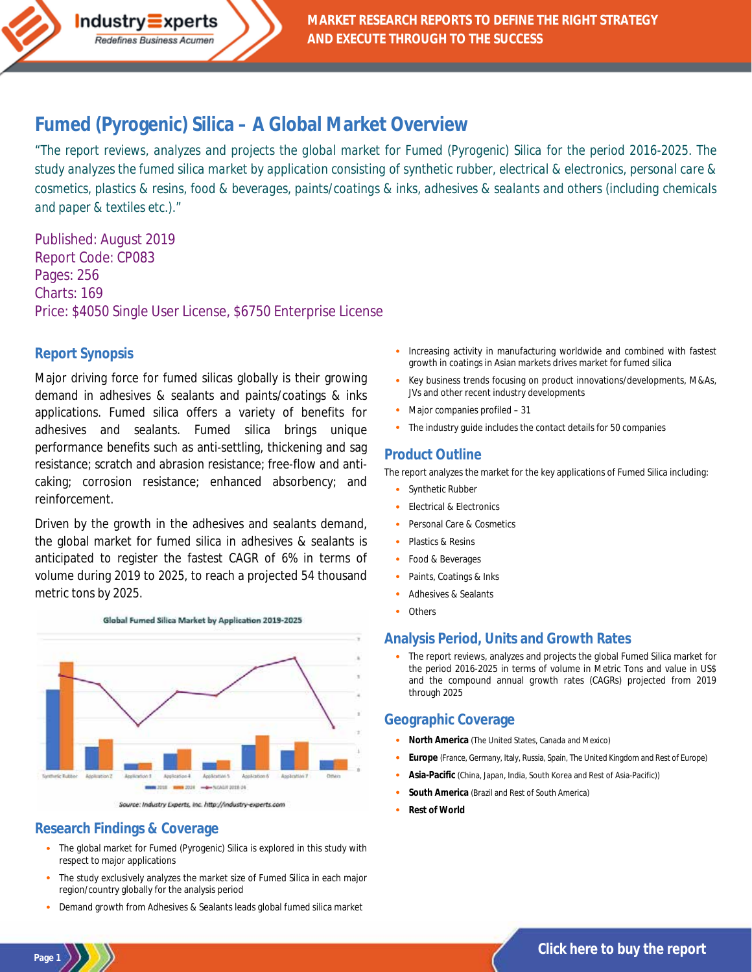# **Fumed (Pyrogenic) Silica – [A Global Market Overview](http://industry-experts.com/verticals/chemicals-and-materials/fumed-pyrogenic-silica-a-global-market-overview)**

*"The report reviews, analyzes and projects the global market for Fumed (Pyrogenic) Silica for the period 2016-2025. The study analyzes the fumed silica market by application consisting of synthetic rubber, electrical & electronics, personal care & cosmetics, plastics & resins, food & beverages, paints/coatings & inks, adhesives & sealants and others (including chemicals and paper & textiles etc.)."*

Published: August 2019 Report Code: CP083 Pages: 256 Charts: 169 Price: \$4050 Single User License, \$6750 Enterprise License

 $Industry\equiv xperts$ Redefines Business Acumen

#### **Report Synopsis**

Major driving force for fumed silicas globally is their growing demand in adhesives & sealants and paints/coatings & inks applications. Fumed silica offers a variety of benefits for adhesives and sealants. Fumed silica brings unique performance benefits such as anti-settling, thickening and sag resistance; scratch and abrasion resistance; free-flow and anticaking; corrosion resistance; enhanced absorbency; and reinforcement.

Driven by the growth in the adhesives and sealants demand, the global market for fumed silica in adhesives & sealants is anticipated to register the fastest CAGR of 6% in terms of volume during 2019 to 2025, to reach a projected 54 thousand metric tons by 2025.



Source: Industry Experts, Inc. http://industry-experts.com

#### **Research Findings & Coverage**

**Page 1**

- The global market for Fumed (Pyrogenic) Silica is explored in this study with respect to major applications
- The study exclusively analyzes the market size of Fumed Silica in each major region/country globally for the analysis period
- · Demand growth from Adhesives & Sealants leads global fumed silica market
- Increasing activity in manufacturing worldwide and combined with fastest growth in coatings in Asian markets drives market for fumed silica
- · Key business trends focusing on product innovations/developments, M&As, JVs and other recent industry developments
- Major companies profiled 31
- The industry quide includes the contact details for 50 companies

#### **Product Outline**

The report analyzes the market for the key applications of Fumed Silica including:

- Synthetic Rubber
- Electrical & Electronics
- Personal Care & Cosmetics
- Plastics & Resins
- Food & Beverages
- Paints, Coatings & Inks
- Adhesives & Sealants
- **Others**

#### **Analysis Period, Units and Growth Rates**

The report reviews, analyzes and projects the global Fumed Silica market for the period 2016-2025 in terms of volume in Metric Tons and value in US\$ and the compound annual growth rates (CAGRs) projected from 2019 through 2025

#### **Geographic Coverage**

- · **North America** (The United States, Canada and Mexico)
- · **Europe** (France, Germany, Italy, Russia, Spain, The United Kingdom and Rest of Europe)
- · **Asia-Pacific** (China, Japan, India, South Korea and Rest of Asia-Pacific))
- South America (Brazil and Rest of South America)
- **Rest of World**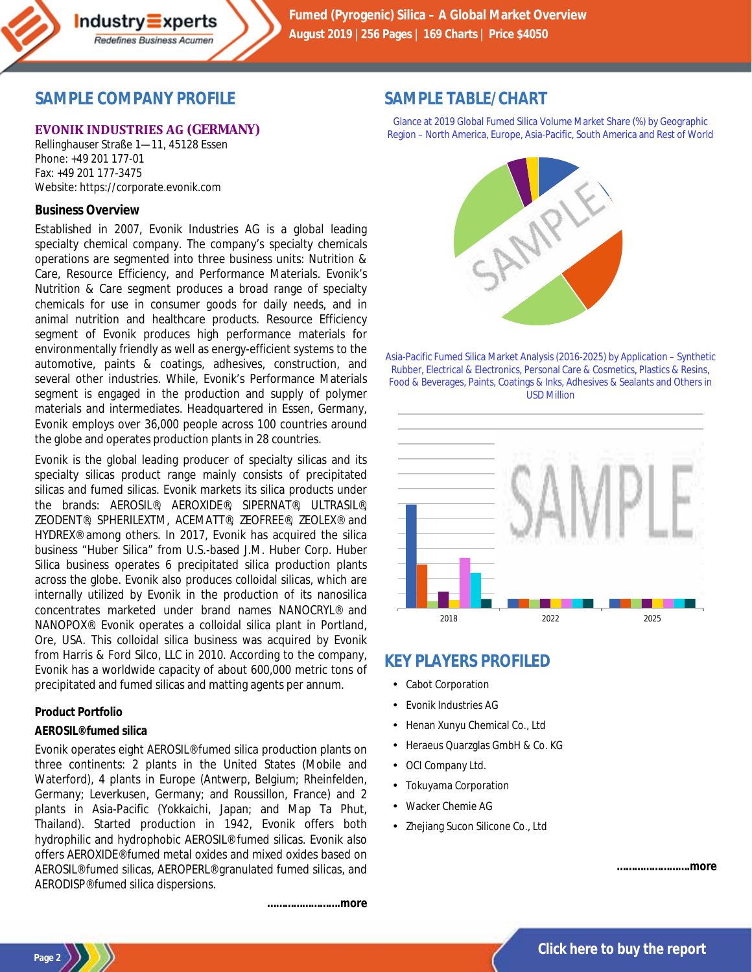

### **SAMPLE COMPANY PROFILE**

### **EVONIK INDUSTRIES AG (GERMANY)**

Rellinghauser Straße 1—11, 45128 Essen Phone: +49 201 177-01 Fax: +49 201 177-3475 Website: https://corporate.evonik.com

#### **Business Overview**

Established in 2007, Evonik Industries AG is a global leading specialty chemical company. The company's specialty chemicals operations are segmented into three business units: Nutrition & Care, Resource Efficiency, and Performance Materials. Evonik's Nutrition & Care segment produces a broad range of specialty chemicals for use in consumer goods for daily needs, and in animal nutrition and healthcare products. Resource Efficiency segment of Evonik produces high performance materials for environmentally friendly as well as energy-efficient systems to the automotive, paints & coatings, adhesives, construction, and several other industries. While, Evonik's Performance Materials segment is engaged in the production and supply of polymer materials and intermediates. Headquartered in Essen, Germany, Evonik employs over 36,000 people across 100 countries around the globe and operates production plants in 28 countries.

Evonik is the global leading producer of specialty silicas and its specialty silicas product range mainly consists of precipitated silicas and fumed silicas. Evonik markets its silica products under the brands: AEROSIL®, AEROXIDE®, SIPERNAT®, ULTRASIL®, ZEODENT®, SPHERILEXTM, ACEMATT®, ZEOFREE®, ZEOLEX® and HYDREX® among others. In 2017, Evonik has acquired the silica business "Huber Silica" from U.S.-based J.M. Huber Corp. Huber Silica business operates 6 precipitated silica production plants across the globe. Evonik also produces colloidal silicas, which are internally utilized by Evonik in the production of its nanosilica concentrates marketed under brand names NANOCRYL® and NANOPOX®. Evonik operates a colloidal silica plant in Portland, Ore, USA. This colloidal silica business was acquired by Evonik from Harris & Ford Silco, LLC in 2010. According to the company, Evonik has a worldwide capacity of about 600,000 metric tons of precipitated and fumed silicas and matting agents per annum.

### **Product Portfolio**

#### *AEROSIL® fumed silica*

Evonik operates eight AEROSIL® fumed silica production plants on three continents: 2 plants in the United States (Mobile and Waterford), 4 plants in Europe (Antwerp, Belgium; Rheinfelden, Germany; Leverkusen, Germany; and Roussillon, France) and 2 plants in Asia-Pacific (Yokkaichi, Japan; and Map Ta Phut, Thailand). Started production in 1942, Evonik offers both hydrophilic and hydrophobic AEROSIL® fumed silicas. Evonik also offers AEROXIDE® fumed metal oxides and mixed oxides based on AEROSIL® fumed silicas, AEROPERL® granulated fumed silicas, and AERODISP® fumed silica dispersions.

*…………………….more*

# **SAMPLE TABLE/CHART**

Glance at 2019 Global Fumed Silica Volume Market Share (%) by Geographic Region – North America, Europe, Asia-Pacific, South America and Rest of World



Asia-Pacific Fumed Silica Market Analysis (2016-2025) by Application – Synthetic Rubber, Electrical & Electronics, Personal Care & Cosmetics, Plastics & Resins, Food & Beverages, Paints, Coatings & Inks, Adhesives & Sealants and Others in USD Million



# **KEY PLAYERS PROFILED**

- Cabot Corporation
- Evonik Industries AG
- Henan Xunyu Chemical Co., Ltd
- Heraeus Quarzglas GmbH & Co. KG
- OCI Company Ltd.
- Tokuyama Corporation
- Wacker Chemie AG
- Zhejiang Sucon Silicone Co., Ltd

*…………………….more*

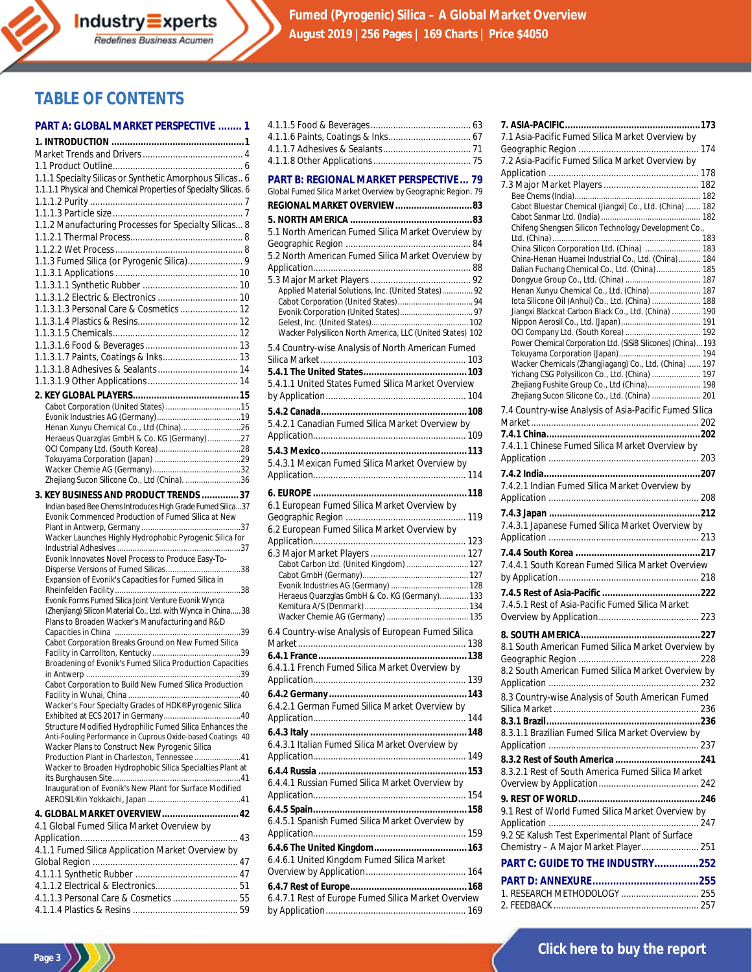**Fumed (Pyrogenic) Silica – A Global Market Overview August 2019 |256 Pages | 169 Charts | Price \$4050**

### **TABLE OF CONTENTS**

#### **PART A: GLOBAL MARKET PERSPECTIVE ........ 1**

| 1.1.1 Specialty Silicas or Synthetic Amorphous Silicas 6<br>1.1.1.1 Physical and Chemical Properties of Specialty Silicas. 6 |
|------------------------------------------------------------------------------------------------------------------------------|
|                                                                                                                              |
| 1.1.2 Manufacturing Processes for Specialty Silicas 8                                                                        |
|                                                                                                                              |
|                                                                                                                              |
|                                                                                                                              |
|                                                                                                                              |
|                                                                                                                              |
|                                                                                                                              |
| 1.1.3.1.3 Personal Care & Cosmetics  12                                                                                      |
|                                                                                                                              |
|                                                                                                                              |
|                                                                                                                              |
| 1.1.3.1.7 Paints, Coatings & Inks 13                                                                                         |
|                                                                                                                              |
|                                                                                                                              |
|                                                                                                                              |
|                                                                                                                              |
| Henan Xunyu Chemical Co., Ltd (China)26                                                                                      |
| Heraeus Quarzglas GmbH & Co. KG (Germany) 27                                                                                 |
|                                                                                                                              |
|                                                                                                                              |
|                                                                                                                              |
| Zhejiang Sucon Silicone Co., Ltd (China). 36                                                                                 |
| 3. KEY BUSINESS AND PRODUCT TRENDS 37                                                                                        |
| Indian based Bee Chems Introduces High Grade Fumed Silica37                                                                  |
| Evonik Commenced Production of Fumed Silica at New                                                                           |
|                                                                                                                              |
|                                                                                                                              |
| Wacker Launches Highly Hydrophobic Pyrogenic Silica for                                                                      |
| Evonik Innovates Novel Process to Produce Easy-To-                                                                           |
|                                                                                                                              |
| Expansion of Evonik's Capacities for Fumed Silica in                                                                         |
|                                                                                                                              |
| Evonik Forms Fumed Silica Joint Venture Evonik Wynca<br>(Zhenjiang) Silicon Material Co., Ltd. with Wynca in China38         |
| Plans to Broaden Wacker's Manufacturing and R&D                                                                              |
|                                                                                                                              |
| Cabot Corporation Breaks Ground on New Fumed Silica                                                                          |
|                                                                                                                              |
| Broadening of Evonik's Fumed Silica Production Capacities                                                                    |
| Cabot Corporation to Build New Fumed Silica Production                                                                       |
|                                                                                                                              |
| Wacker's Four Specialty Grades of HDK® Pyrogenic Silica                                                                      |
|                                                                                                                              |
| Structure Modified Hydrophilic Fumed Silica Enhances the<br>Anti-Fouling Performance in Cuprous Oxide-based Coatings 40      |
| Wacker Plans to Construct New Pyrogenic Silica                                                                               |
| Production Plant in Charleston, Tennessee 41                                                                                 |
| Wacker to Broaden Hydrophobic Silica Specialties Plant at                                                                    |
| Inauguration of Evonik's New Plant for Surface Modified                                                                      |
|                                                                                                                              |
| 4. GLOBAL MARKET OVERVIEW 42                                                                                                 |
| 4.1 Global Fumed Silica Market Overview by                                                                                   |
|                                                                                                                              |
| 4.1.1 Fumed Silica Application Market Overview by                                                                            |
|                                                                                                                              |
|                                                                                                                              |
|                                                                                                                              |
| 4.1.1.3 Personal Care & Cosmetics  55                                                                                        |

| <b>PART B: REGIONAL MARKET PERSPECTIVE 79</b>                |  |
|--------------------------------------------------------------|--|
| Global Fumed Silica Market Overview by Geographic Region. 79 |  |
| REGIONAL MARKET OVERVIEW83                                   |  |
|                                                              |  |
| 5.1 North American Fumed Silica Market Overview by           |  |
|                                                              |  |
| 5.2 North American Fumed Silica Market Overview by           |  |
|                                                              |  |
|                                                              |  |
| Applied Material Solutions, Inc. (United States) 92          |  |
|                                                              |  |
|                                                              |  |
| Wacker Polysilicon North America, LLC (United States) 102    |  |
| 5.4 Country-wise Analysis of North American Fumed            |  |
|                                                              |  |
|                                                              |  |
| 5.4.1.1 United States Fumed Silica Market Overview           |  |
|                                                              |  |
|                                                              |  |
| 5.4.2.1 Canadian Fumed Silica Market Overview by             |  |
|                                                              |  |
|                                                              |  |
| 5.4.3.1 Mexican Fumed Silica Market Overview by              |  |
|                                                              |  |
|                                                              |  |
| 6.1 European Fumed Silica Market Overview by                 |  |
|                                                              |  |
| 6.2 European Fumed Silica Market Overview by                 |  |
|                                                              |  |
|                                                              |  |
| Cabot Carbon Ltd. (United Kingdom)  127                      |  |
|                                                              |  |
| Heraeus Quarzglas GmbH & Co. KG (Germany) 133                |  |
|                                                              |  |
|                                                              |  |
| 6.4 Country-wise Analysis of European Fumed Silica           |  |
|                                                              |  |
| 6.4.1.1 French Fumed Silica Market Overview by               |  |
|                                                              |  |
|                                                              |  |
| 6.4.2.1 German Fumed Silica Market Overview by               |  |
|                                                              |  |
|                                                              |  |
| 6.4.3.1 Italian Fumed Silica Market Overview by              |  |
|                                                              |  |
|                                                              |  |
| 6.4.4.1 Russian Fumed Silica Market Overview by              |  |
|                                                              |  |
|                                                              |  |
| 6.4.5.1 Spanish Fumed Silica Market Overview by              |  |
|                                                              |  |
|                                                              |  |
| 6.4.6.1 United Kingdom Fumed Silica Market                   |  |
|                                                              |  |
|                                                              |  |
|                                                              |  |
| 6.4.7.1 Rest of Europe Fumed Silica Market Overview          |  |
|                                                              |  |

| 7.1 Asia-Pacific Fumed Silica Market Overview by              |  |
|---------------------------------------------------------------|--|
|                                                               |  |
| 7.2 Asia-Pacific Fumed Silica Market Overview by              |  |
|                                                               |  |
|                                                               |  |
|                                                               |  |
| Cabot Bluestar Chemical (Jiangxi) Co., Ltd. (China)  182      |  |
| Chifeng Shengsen Silicon Technology Development Co.,          |  |
|                                                               |  |
| China Silicon Corporation Ltd. (China)  183                   |  |
| China-Henan Huamei Industrial Co., Ltd. (China) 184           |  |
| Dalian Fuchang Chemical Co., Ltd. (China) 185                 |  |
| Henan Xunyu Chemical Co., Ltd. (China) 187                    |  |
| lota Silicone Oil (Anhui) Co., Ltd. (China)  188              |  |
| Jiangxi Blackcat Carbon Black Co., Ltd. (China)  190          |  |
|                                                               |  |
| Power Chemical Corporation Ltd. (SiSiB Silicones) (China) 193 |  |
|                                                               |  |
| Wacker Chemicals (Zhangjiagang) Co., Ltd. (China)  197        |  |
| Yichang CSG Polysilicon Co., Ltd. (China)  197                |  |
| Zhejiang Fushite Group Co., Ltd (China) 198                   |  |
| Zhejiang Sucon Silicone Co., Ltd. (China)  201                |  |
| 7.4 Country-wise Analysis of Asia-Pacific Fumed Silica        |  |
|                                                               |  |
|                                                               |  |
| 7.4.1.1 Chinese Fumed Silica Market Overview by               |  |
|                                                               |  |
|                                                               |  |
| 7.4.2.1 Indian Fumed Silica Market Overview by                |  |
|                                                               |  |
|                                                               |  |
| 7.4.3.1 Japanese Fumed Silica Market Overview by              |  |
|                                                               |  |
|                                                               |  |
| 7.4.4.1 South Korean Fumed Silica Market Overview             |  |
|                                                               |  |
|                                                               |  |
| 7.4.5.1 Rest of Asia-Pacific Fumed Silica Market              |  |
|                                                               |  |
|                                                               |  |
| 8.1 South American Fumed Silica Market Overview by            |  |
|                                                               |  |
| 8.2 South American Fumed Silica Market Overview by            |  |
|                                                               |  |
|                                                               |  |
| 8.3 Country-wise Analysis of South American Fumed             |  |
|                                                               |  |
| 8.3.1.1 Brazilian Fumed Silica Market Overview by             |  |
|                                                               |  |
|                                                               |  |
| 8.3.2.1 Rest of South America Fumed Silica Market             |  |
|                                                               |  |
|                                                               |  |
|                                                               |  |
| 9.1 Rest of World Fumed Silica Market Overview by             |  |
| 9.2 SE Kalush Test Experimental Plant of Surface              |  |
| Chemistry - A Major Market Player 251                         |  |
|                                                               |  |
| PART C: GUIDE TO THE INDUSTRY252                              |  |
|                                                               |  |
| 1. RESEARCH METHODOLOGY  255                                  |  |
|                                                               |  |